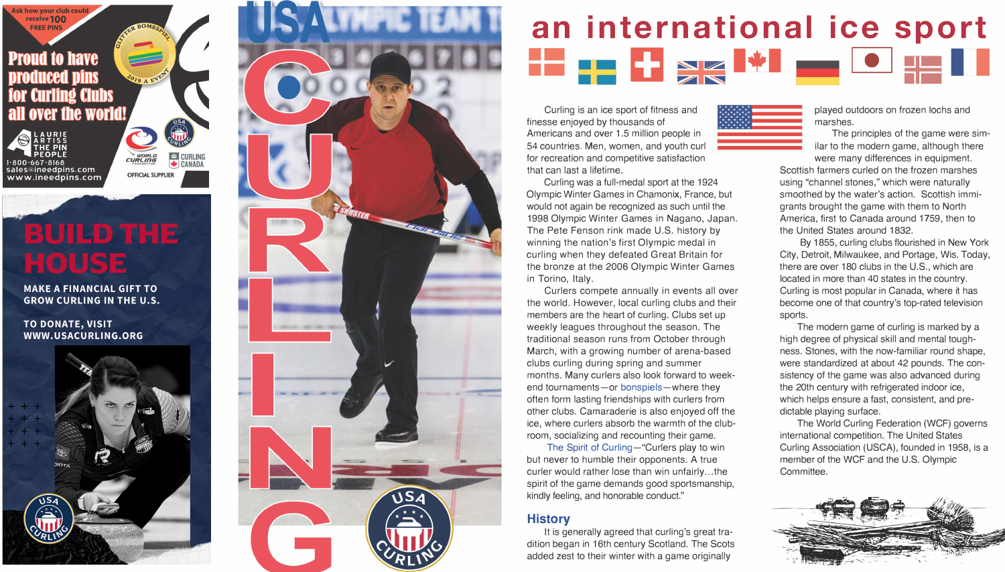

# **BUILD THE** HOUSE

**MAKE A FINANCIAL GIFT TO GROW CURLING IN THE U.S.** 

**TO DONATE, VISIT** WWW.USACURLING.ORG





### **an international ice sport**  == **a** �-·· �� **� l♦I** •-

 $\star_1 \star_2 \star_3 \star_4 \star_5$  $\star$   $\star$   $\star$   $\star$   $\star$  $\star$   $\star$   $\star$   $\star$   $\star$   $\star$   $\star$  $\star$   $\star$   $\star$   $\star$   $\star$  $\star$   $\star$   $\star$   $\star$   $\star$   $\star$  $\star$   $\star$   $\star$   $\star$   $\star$  $\star$   $\star$   $\star$   $\star$  $\star^{\star} \star^{\star} \star^{\star} \star^{\star} \star^{\star} \star$ 

Curling is an ice sport of fitness and finesse enjoyed by thousands of Americans and over 1.5 million people in 54 countries. Men, women, and youth curl for recreation and competitive satisfaction that can last a lifetime.

Curling was a full-medal sport at the 1924 Olympic Winter Games in Chamonix, France, but would not again be recognized as such until the 1998 Olympic Winter Games in Nagano, Japan. The Pete Fenson rink made U.S. history by winning the nation's first Olympic medal in curling when they defeated Great Britain for the bronze at the 2006 Olympic Winter Games in Torino, Italy.

Curlers compete annually in events all over the world. However, local curling clubs and their members are the heart of curling. Clubs set up weekly leagues throughout the season. The traditional season runs from October through March, with a growing number of arena-based clubs curling during spring and summer months. Many curlers also look forward to weekend tournaments-or bonspiels-where they often form lasting friendships with curlers from other clubs. Camaraderie is also enjoyed off the ice, where curlers absorb the warmth of the clubroom, socializing and recounting their game.

The Spirit of Curling-"Curlers play to win but never to humble their opponents. A true curler would rather lose than win unfairly ... the spirit of the game demands good sportsmanship, kindly feeling, and honorable conduct."

#### **History**

It is generally agreed that curling's great tradition began in 16th century Scotland. The Scots added zest to their winter with a game originally

played outdoors on frozen lochs and marshes.

The principles of the game were similar to the modern game, although there were many differences in equipment.

Scottish farmers curled on the frozen marshes using "channel stones," which were naturally smoothed by the water's action. Scottish immigrants brought the game with them to North America, first to Canada around 1759, then to the United States around 1832.

By 1855, curling clubs flourished in New York City, Detroit, Milwaukee, and Portage, Wis. Today, there are over 180 clubs in the U.S., which are located in more than 40 states in the country. Curling is most popular in Canada, where it has become one of that country's top-rated television sports.

The modern game of curling is marked by a high degree of physical skill and mental toughness. Stones, with the now-familiar round shape, were standardized at about 42 pounds. The consistency of the game was also advanced during the 20th century with refrigerated indoor ice, which helps ensure a fast, consistent, and predictable playing surface.

The World Curling Federation (WCF) governs international competition. The United States Curling Association (USCA), founded in 1958, is a member of the WCF and the U.S. Olympic Committee.